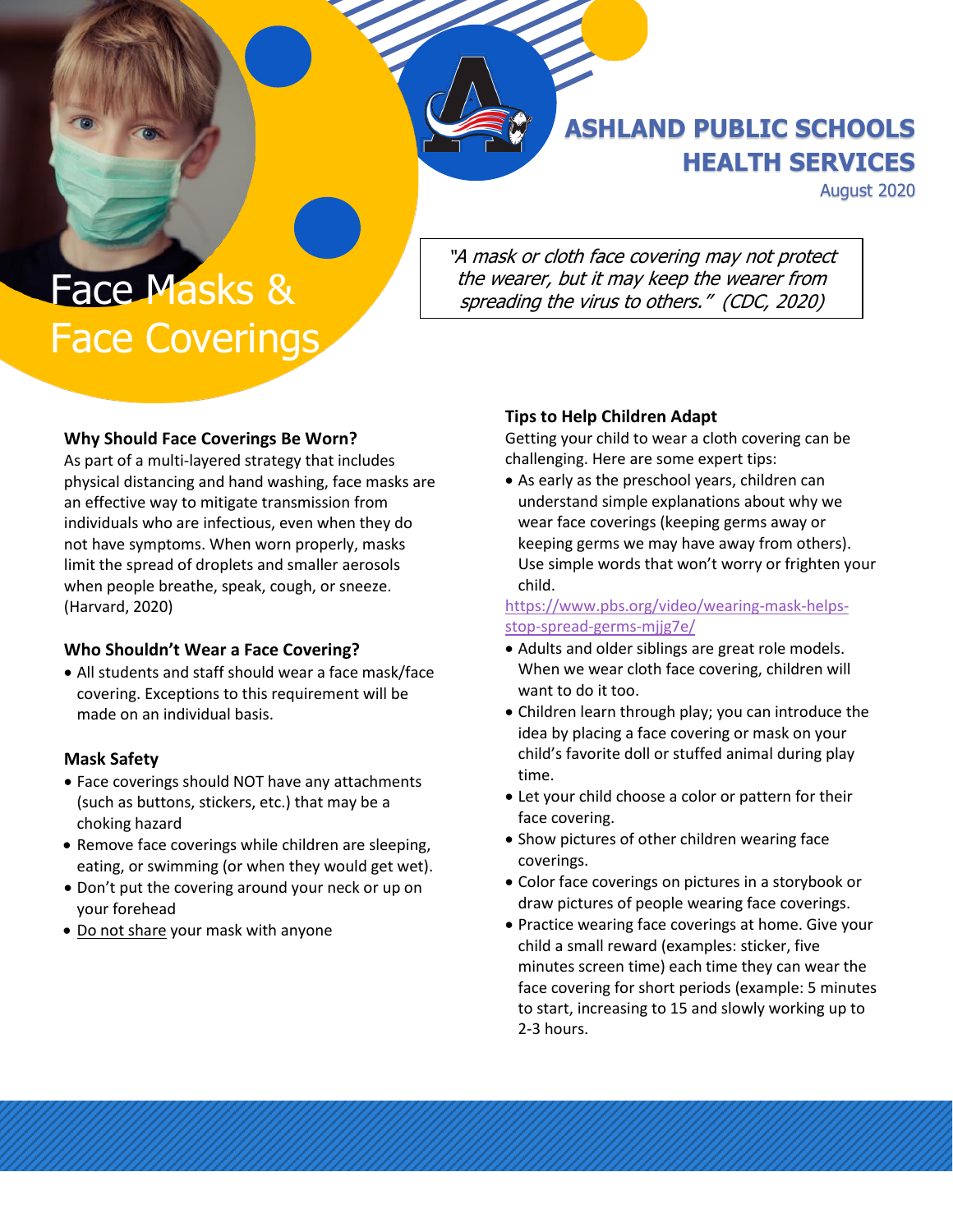**ASHLAND PUBLIC SCHOOLS HEALTH SERVICES**

August 2020

Face Masks & Face Coverings "A mask or cloth face covering may not protect the wearer, but it may keep the wearer from spreading the virus to others." (CDC, 2020)

### **Why Should Face Coverings Be Worn?**

As part of a multi-layered strategy that includes physical distancing and hand washing, face masks are an effective way to mitigate transmission from individuals who are infectious, even when they do not have symptoms. When worn properly, masks limit the spread of droplets and smaller aerosols when people breathe, speak, cough, or sneeze. (Harvard, 2020)

### **Who Shouldn't Wear a Face Covering?**

• All students and staff should wear a face mask/face covering. Exceptions to this requirement will be made on an individual basis.

#### **Mask Safety**

- Face coverings should NOT have any attachments (such as buttons, stickers, etc.) that may be a choking hazard
- Remove face coverings while children are sleeping, eating, or swimming (or when they would get wet).
- Don't put the covering around your neck or up on your forehead
- Do not share your mask with anyone

### **Tips to Help Children Adapt**

Getting your child to wear a cloth covering can be challenging. Here are some expert tips:

• As early as the preschool years, children can understand simple explanations about why we wear face coverings (keeping germs away or keeping germs we may have away from others). Use simple words that won't worry or frighten your child.

[https://www.pbs.org/video/wearing-mask-helps](https://www.pbs.org/video/wearing-mask-helps-stop-spread-germs-mjjg7e/)[stop-spread-germs-mjjg7e/](https://www.pbs.org/video/wearing-mask-helps-stop-spread-germs-mjjg7e/)

- Adults and older siblings are great role models. When we wear cloth face covering, children will want to do it too.
- Children learn through play; you can introduce the idea by placing a face covering or mask on your child's favorite doll or stuffed animal during play time.
- Let your child choose a color or pattern for their face covering.
- Show pictures of other children wearing face coverings.
- Color face coverings on pictures in a storybook or draw pictures of people wearing face coverings.
- Practice wearing face coverings at home. Give your child a small reward (examples: sticker, five minutes screen time) each time they can wear the face covering for short periods (example: 5 minutes to start, increasing to 15 and slowly working up to 2-3 hours.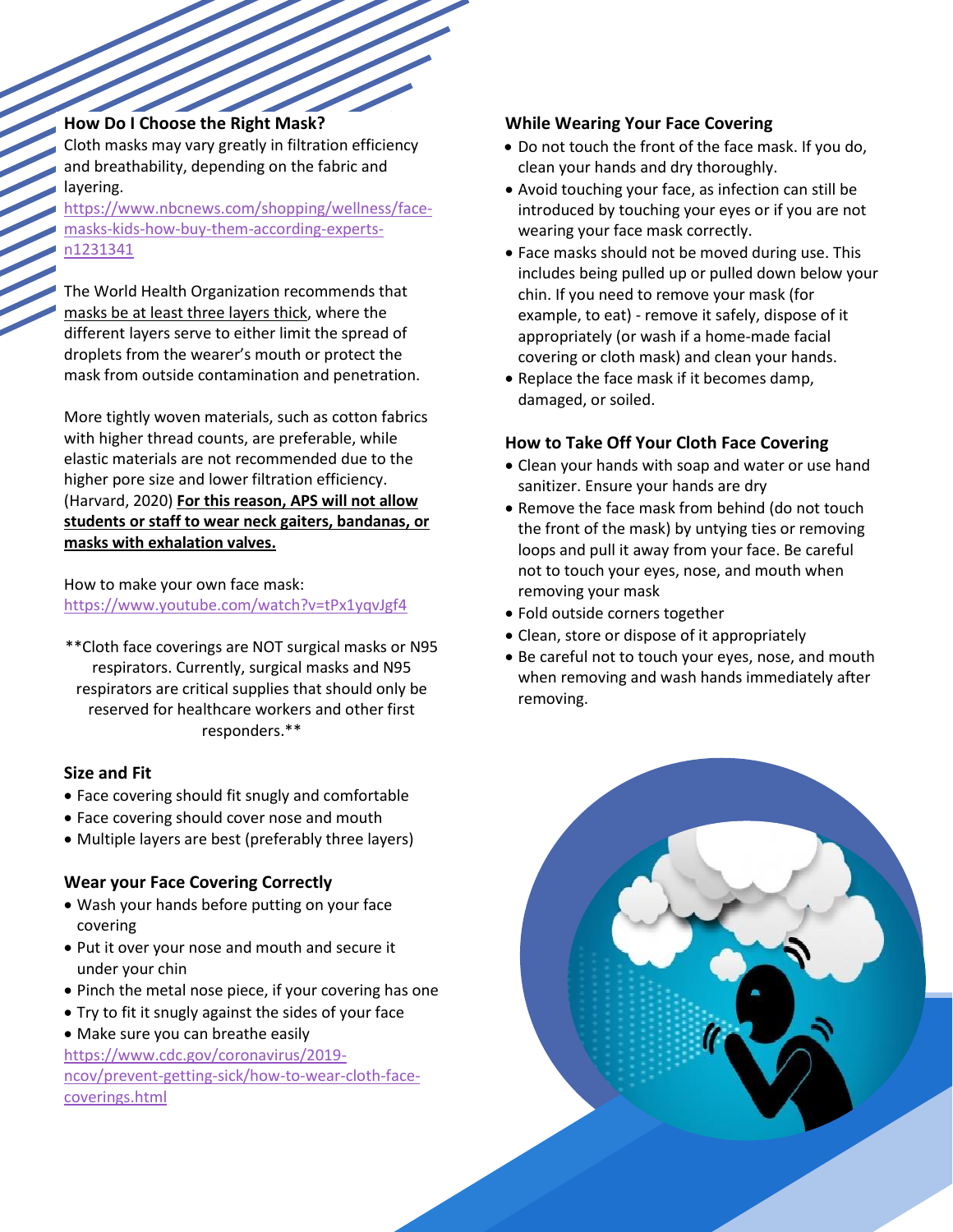### **How Do I Choose the Right Mask?**

Cloth masks may vary greatly in filtration efficiency and breathability, depending on the fabric and layering.

[https://www.nbcnews.com/shopping/wellness/face](https://www.nbcnews.com/shopping/wellness/face-masks-kids-how-buy-them-according-experts-n1231341)[masks-kids-how-buy-them-according-experts](https://www.nbcnews.com/shopping/wellness/face-masks-kids-how-buy-them-according-experts-n1231341)[n1231341](https://www.nbcnews.com/shopping/wellness/face-masks-kids-how-buy-them-according-experts-n1231341)

The World Health Organization recommends that masks be at least three layers thick, where the different layers serve to either limit the spread of droplets from the wearer's mouth or protect the mask from outside contamination and penetration.

More tightly woven materials, such as cotton fabrics with higher thread counts, are preferable, while elastic materials are not recommended due to the higher pore size and lower filtration efficiency. (Harvard, 2020) **For this reason, APS will not allow students or staff to wear neck gaiters, bandanas, or masks with exhalation valves.**

### How to make your own face mask: <https://www.youtube.com/watch?v=tPx1yqvJgf4>

\*\*Cloth face coverings are NOT surgical masks or N95 respirators. Currently, surgical masks and N95 respirators are critical supplies that should only be reserved for healthcare workers and other first responders.\*\*

## **Size and Fit**

- Face covering should fit snugly and comfortable
- Face covering should cover nose and mouth
- Multiple layers are best (preferably three layers)

## **Wear your Face Covering Correctly**

- Wash your hands before putting on your face covering
- Put it over your nose and mouth and secure it under your chin
- Pinch the metal nose piece, if your covering has one
- Try to fit it snugly against the sides of your face
- Make sure you can breathe easily

[https://www.cdc.gov/coronavirus/2019](https://www.cdc.gov/coronavirus/2019-ncov/prevent-getting-sick/how-to-wear-cloth-face-coverings.html) [ncov/prevent-getting-sick/how-to-wear-cloth-face](https://www.cdc.gov/coronavirus/2019-ncov/prevent-getting-sick/how-to-wear-cloth-face-coverings.html)[coverings.html](https://www.cdc.gov/coronavirus/2019-ncov/prevent-getting-sick/how-to-wear-cloth-face-coverings.html)

## **While Wearing Your Face Covering**

- Do not touch the front of the face mask. If you do, clean your hands and dry thoroughly.
- Avoid touching your face, as infection can still be introduced by touching your eyes or if you are not wearing your face mask correctly.
- Face masks should not be moved during use. This includes being pulled up or pulled down below your chin. If you need to remove your mask (for example, to eat) - remove it safely, dispose of it appropriately (or wash if a home-made facial covering or cloth mask) and clean your hands.
- Replace the face mask if it becomes damp, damaged, or soiled.

## **How to Take Off Your Cloth Face Covering**

- Clean your hands with soap and water or use hand sanitizer. Ensure your hands are dry
- Remove the face mask from behind (do not touch the front of the mask) by untying ties or removing loops and pull it away from your face. Be careful not to touch your eyes, nose, and mouth when removing your mask
- Fold outside corners together
- Clean, store or dispose of it appropriately
- Be careful not to touch your eyes, nose, and mouth when removing and wash hands immediately after removing.